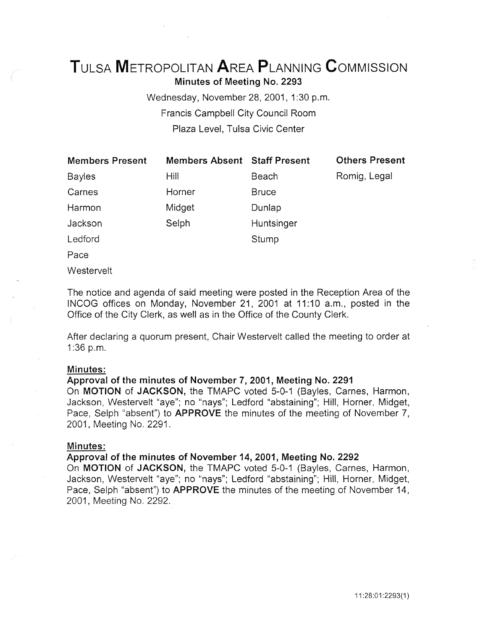# TuLsA METROPOLITAN AREA PLANNING CoMMISSION Minutes of Meeting No. 2293

Wednesday, November 28, 2001, 1:30 p.m. Francis Campbell City Council Room Plaza Level, Tulsa Civic Center

| <b>Members Present</b> | Members Absent Staff Present |              |
|------------------------|------------------------------|--------------|
| <b>Bayles</b>          | Hill                         | Beach        |
| Carnes                 | Horner                       | <b>Bruce</b> |
| Harmon                 | Midget                       | Dunlap       |
| Jackson                | Selph                        | Huntsinger   |
| Ledford                |                              | Stump        |
| $\Gamma$               |                              |              |

Others Present

Romig, Legal

Pace

Westervelt

The notice and agenda of said meeting were posted in the Reception Area of the INCOG offices on Monday, November 21, 2001 at 11:10 a.m., posted in the Office of the City Clerk, as well as in the Office of the County Clerk.

After declaring a quorum present, Chair Westervelt called the meeting to order at 1:36 p.m.

# Minutes:

# Approval of the minutes of November 7, 2001, Meeting No. 2291

On MOTION of JACKSON, the TMAPC voted 5-0-1 (Bayles, Carnes, Harmon, Jackson, Westervelt "aye"; no "nays"; Ledford "abstaining"; Hill, Horner, Midget, Pace, Selph "absent") to **APPROVE** the minutes of the meeting of November 7, 2001, Meeting No. 2291.

# Minutes:

#### Approval of the minutes of November 14, 2001, Meeting No. 2292

On MOTION of JACKSON, the TMAPC voted 5-0-1 (Bayles, Carnes, Harmon, Jackson, Westervelt "aye"; no "nays"; Ledford "abstaining"; Hill, Horner, Midget, Pace, Selph "absent") to APPROVE the minutes of the meeting of November 14, 2001, Meeting No. 2292.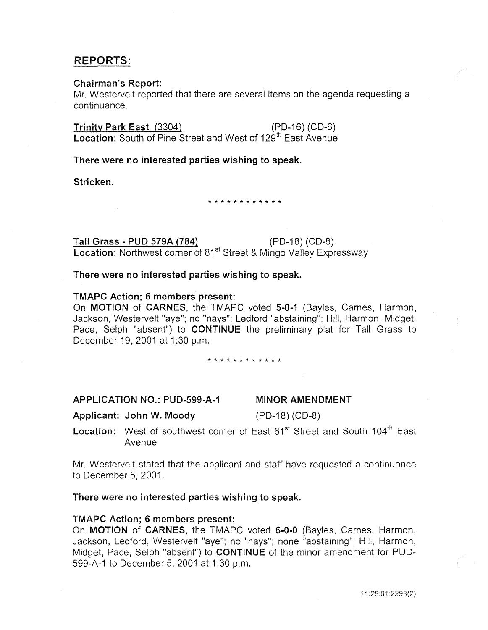# REPORTS:

# Chairman's Report:

Mr. Westervelt reported that there are several items on the agenda requesting a continuance.

Trinity Park East (3304) (PD-16) (CD-6) Location: South of Pine Street and West of 129<sup>th</sup> East Avenue

There were no interested parties wishing to speak.

Stricken.

\* \* \* \* \* \* \* \* \* \* \* \*

Tall Grass- PUD 579A (784} (PD-18) (CD-8) Location: Northwest corner of 81<sup>st</sup> Street & Mingo Valley Expressway

There were no interested parties wishing to speak.

# TMAPC Action; 6 members present:

On MOTION of CARNES, the TMAPC voted 5-0-1 (Bayles, Carnes, Harmon, Jackson, Westervelt "aye"; no "nays"; Ledford "abstaining"; Hill, Harmon, Midget, Pace, Selph "absent") to **CONTINUE** the preliminary plat for Tall Grass to December 19,2001 at 1:30 p.m.

\* \* \* \* \* \* \* \* \* \* \* \*

APPLICATION NO.: PUD-599-A-1

MINOR AMENDMENT

Applicant: John W. Moody

(PD-18) (CD-8)

Location: West of southwest corner of East 61<sup>st</sup> Street and South 104<sup>th</sup> East Avenue

Mr. Westervelt stated that the applicant and staff have requested a continuance to December 5, 2001.

# There were no interested parties wishing to speak.

# TMAPC Action; 6 members present:

On MOTION of CARNES, the TMAPC voted 6-0-0 (Bayles, Carnes, Harmon, Jackson, Ledford, Westervelt "aye"; no "nays"; none "abstaining"; Hill, Harmon, Midget, Pace, Selph "absent") to **CONTINUE** of the minor amendment for PUD-599-A-1 to December 5, 2001 at 1:30 p.m.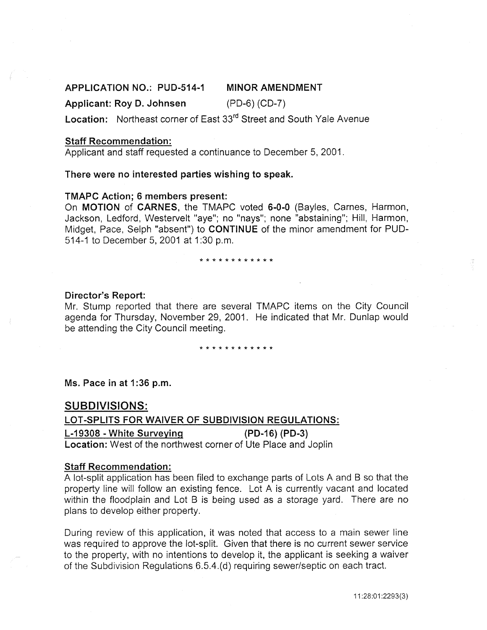#### APPLICATION NO.: PUD-514-1 MINOR AMENDMENT

#### Applicant: Roy D. Johnsen (PD-6) (CD-7)

Location: Northeast corner of East 33<sup>rd</sup> Street and South Yale Avenue

# Staff Recommendation:

Applicant and staff requested a continuance to December 5, 2001.

#### There were no interested parties wishing to speak.

#### TMAPC Action; 6 members present:

On MOTION of CARNES, the TMAPC voted 6-0-0 (Bayles, Carnes, Harmon, Jackson, Ledford, Westervelt "aye"; no "nays"; none "abstaining"; Hill, Harmon, Midget, Pace, Selph "absent") to CONTINUE of the minor amendment for PUD-514-1 to December 5, 2001 at 1:30 p.m.

#### \* \* \* \* \* \* \* \* \* \* \* \*

#### Director's Report:

Mr. Stump reported that there are several TMAPC items on the City Council agenda for Thursday, November 29, 2001. He indicated that Mr. Dunlap would be attending the City Council meeting.

#### \* \* \* \* \* \* \* \* \* \* \* \*

Ms. Pace in at 1:36 p.m.

# SUBDIVISIONS:

# LOT-SPLITS FOR WAIVER OF SUBDIVISION REGULATIONS: L-19308 - White Surveying (PD-16) (PD-3) Location: West of the northwest corner of Ute Place and Joplin

# Staff Recommendation:

A lot-split application has been filed to exchange parts of Lots A and B so that the property line will follow an existing fence. Lot A is currently vacant and located within the floodplain and Lot B is being used as a storage yard. There are no plans to develop either property.

During review of this application, it was noted that access to a main sewer line was required to approve the lot-split. Given that there is no current sewer service to the property, with no intentions to develop it, the applicant is seeking a waiver of the Subdivision Regulations 6.5.4.(d) requiring sewer/septic on each tract.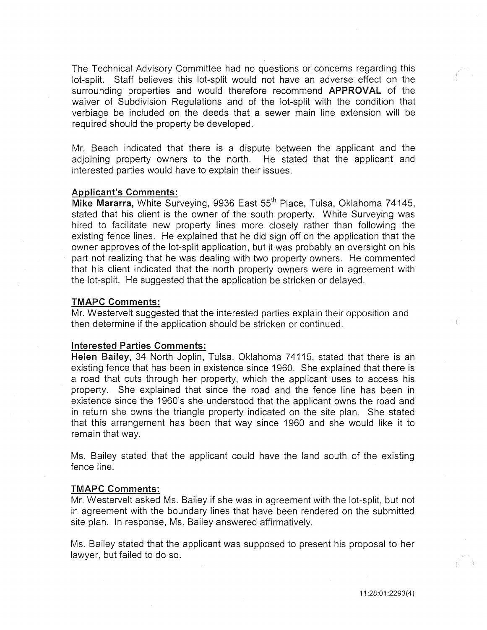The Technical Advisory Committee had no questions or concerns regarding this lot-split. Staff believes this lot-split would not have an adverse effect on the surrounding properties and would therefore recommend **APPROVAL** of the waiver of Subdivision Regulations and of the lot-split with the condition that verbiage be included on the deeds that a sewer main line extension will be required should the property be developed.

Mr. Beach indicated that there is a dispute between the applicant and the adjoining property owners to the north. He stated that the applicant and interested parties would have to explain their issues.

#### Applicant's Comments:

Mike Mararra, White Surveying, 9936 East 55<sup>th</sup> Place, Tulsa, Oklahoma 74145, stated that his client is the owner of the south property. White Surveying was hired to facilitate new property lines more closely rather than following the existing fence lines. He explained that he did sign off on the application that the owner approves of the lot-split application, but it was probably an oversight on his part not realizing that he was dealing with two property owners. He commented that his client indicated that the north property owners were in agreement with the lot-split. He suggested that the application be stricken or delayed.

#### TMAPC Comments:

Mr. Westervelt suggested that the interested parties explain their opposition and then determine if the application should be stricken or continued.

#### Interested Parties Comments:

Helen Bailey, 34 North Joplin, Tulsa, Oklahoma 74115, stated that there is an existing fence that has been in existence since 1960. She explained that there is a road that cuts through her property, which the applicant uses to access his property. She explained that since the road and the fence line has been in existence since the 1960's she understood that the applicant owns the road and in return she owns the triangle property indicated on the site plan. She stated that this arrangement has been that way since 1960 and she would like it to remain that way.

Ms. Bailey stated that the applicant could have the land south of the existing fence line.

# TMAPC Comments:

Mr. Westervelt asked Ms. Bailey if she was in agreement with the lot-split, but not in agreement with the boundary lines that have been rendered on the submitted site plan. In response, Ms. Bailey answered affirmatively.

Ms. Bailey stated that the applicant was supposed to present his proposal to her lawyer, but failed to do so.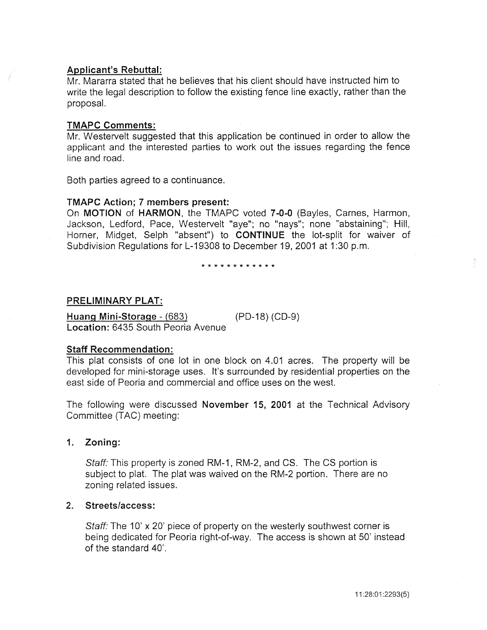# Applicant's Rebuttal:

Mr. Mararra stated that he believes that his client should have instructed him to write the legal description to follow the existing fence line exactly, rather than the proposal.

#### TMAPC Comments:

Mr. Westervelt suggested that this application be continued in order to allow the applicant and the interested parties to work out the issues regarding the fence line and road.

Both parties agreed to a continuance.

# TMAPC Action; 7 members present:

On MOTION of HARMON, the TMAPC voted 7-0-0 (Bayles, Carnes, Harmon, Jackson, Ledford, Pace, Westervelt "aye"; no "nays"; none "abstaining"; Hill, Horner, Midget, Selph "absent") to CONTINUE the lot-split for waiver of Subdivision Regulations for L-19308 to December 19, 2001 at 1:30 p.m.

#### \* \* \* \* \* \* \* \* \* \* \* \*

#### PRELIMINARY PLAT:

Huang Mini-Storage- (683) (PD-18) (CD-9) Location: 6435 South Peoria Avenue

#### Staff Recommendation:

This plat consists of one lot in one block on 4.01 acres. The property will be developed for mini-storage uses. It's surrounded by residential properties on the east side of Peoria and commercial and office uses on the west.

The following were discussed November 15, 2001 at the Technical Advisory Committee (TAC) meeting:

# 1. Zoning:

Staff: This property is zoned RM-1, RM-2, and CS. The CS portion is subject to plat. The plat was waived on the RM-2 portion. There are no zoning related issues.

# 2. Streets/access:

Staff: The 10' x 20' piece of property on the westerly southwest corner is being dedicated for Peoria right-of-way. The access is shown at 50' instead of the standard 40'.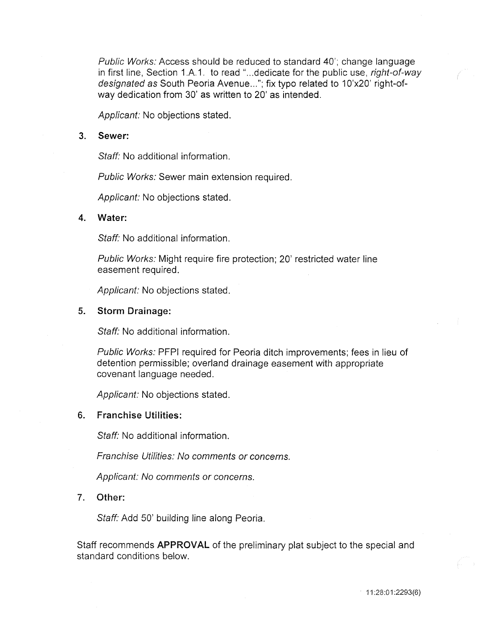Public Works: Access should be reduced to standard 40'; change language in first line, Section 1.A.1. to read "... dedicate for the public use, right-of-way designated as South Peoria Avenue..."; fix typo related to 10'x20' right-ofway dedication from 30' as written to 20' as intended.

Applicant: No objections stated.

#### 3. Sewer:

Staff: No additional information.

Public Works: Sewer main extension required.

Applicant: No objections stated.

#### 4. Water:

Staff: No additional information.

Public Works: Might require fire protection; 20' restricted water line easement required.

Applicant: No objections stated.

#### 5. Storm Drainage:

Staff: No additional information.

Public Works: PFPI required for Peoria ditch improvements; fees in lieu of detention permissible; overland drainage easement with appropriate covenant language needed.

Applicant: No objections stated.

#### 6. Franchise Utilities:

Staff: No additional information.

Franchise Utilities: No comments or concerns.

Applicant: No comments or concerns.

# 7. Other:

Staff: Add 50' building line along Peoria.

Staff recommends APPROVAL of the preliminary plat subject to the special and standard conditions below.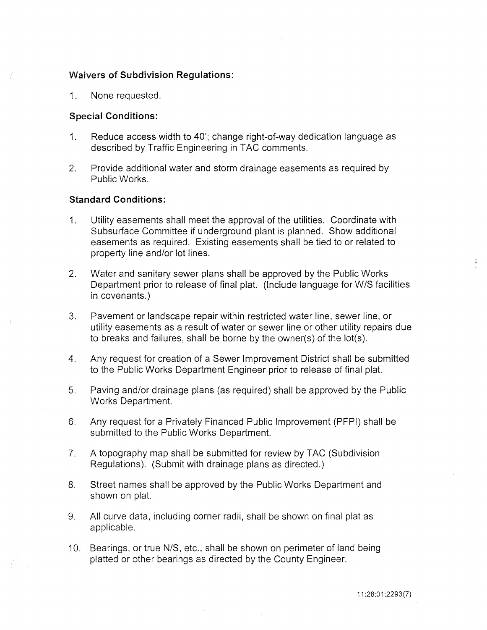# Waivers of Subdivision Regulations:

1. None requested.

# Special Conditions:

- 1. Reduce access width to 40'; change right-of-way dedication language as described by Traffic Engineering in TAC comments.
- 2. Provide additional water and storm drainage easements as required by Public Works.

# Standard Conditions:

- 1. Utility easements shall meet the approval of the utilities. Coordinate with Subsurface Committee if underground plant is planned. Show additional easements as required. Existing easements shall be tied to or related to property line and/or lot lines.
- 2. Water and sanitary sewer plans shall be approved by the Public Works Department prior to release of final plat. (Include language for W/S facilities in covenants.)
- 3. Pavement or landscape repair within restricted water line, sewer line, or utility easements as a result of water or sewer line or other utility repairs due to breaks and failures, shall be borne by the owner(s) of the lot(s).
- 4. Any request for creation of a Sewer Improvement District shall be submitted to the Public Works Department Engineer prior to release of final plat.
- 5. Paving and/or drainage plans (as required) shall be approved by the Public Works Department.
- 6. Any request for a Privately Financed Public Improvement (PFPI) shall be submitted to the Public Works Department.
- 7. A topography map shall be submitted for review by TAC (Subdivision Regulations). (Submit with drainage plans as directed.)
- 8. Street names shall be approved by the Public Works Department and shown on plat.
- 9. All curve data, including corner radii, shall be shown on final plat as applicable.
- 10. Bearings, or true N/S, etc., shall be shown on perimeter of land being platted or other bearings as directed by the County Engineer.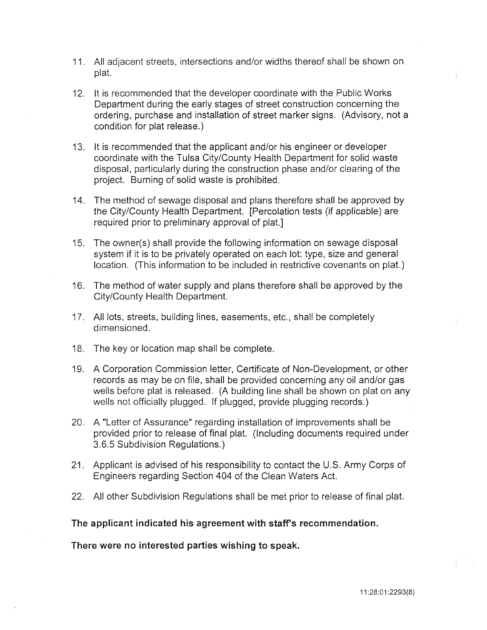- 11. All adjacent streets, intersections and/or widths thereof shall be shown on plat.
- 12. It is recommended that the developer coordinate with the Public Works Department during the early stages of street construction concerning the ordering, purchase and installation of street marker signs. (Advisory, not a condition for plat release.)
- 13. It is recommended that the applicant and/or his engineer or developer coordinate with the Tulsa City/County Health Department for solid waste disposal, particularly during the construction phase and/or clearing of the project. Burning of solid waste is prohibited.
- 14. The method of sewage disposal and plans therefore shall be approved by the City/County Health Department. [Percolation tests (if applicable) are required prior to preliminary approval of plat.]
- 15. The owner(s) shall provide the following information on sewage disposal system if it is to be privately operated on each lot: type, size and general location. (This information to be included in restrictive covenants on plat.)
- 16. The method of water supply and plans therefore shall be approved by the City/County Health Department.
- 17. All lots, streets, building lines, easements, etc., shall be completely dimensioned.
- 18. The key or location map shall be complete.
- 19. A Corporation Commission letter, Certificate of Non-Development, or other records as may be on file, shall be provided concerning any oil and/or gas wells before plat is released. (A building line shall be shown on plat on any wells not officially plugged. If plugged, provide plugging records.)
- 20. A "Letter of Assurance" regarding installation of improvements shall be provided prior to release of final plat. (Including documents required under 3.6.5 Subdivision Regulations.)
- 21. Applicant is advised of his responsibility to contact the U.S. Army Corps of Engineers regarding Section 404 of the Clean Waters Act.
- 22. All other Subdivision Regulations shall be met prior to release of final plat.

The applicant indicated his agreement with staff's recommendation.

There were no interested parties wishing to speak.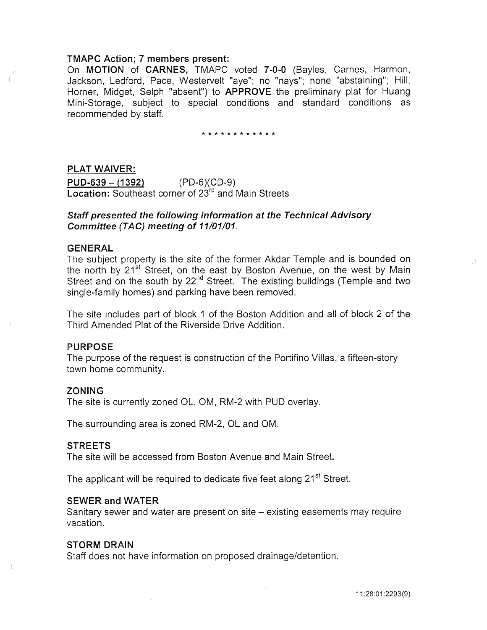# TMAPC Action; 7 members present:

On MOTION of CARNES, TMAPC voted 7-0-0 (Bayles, Carnes, Harmon, Jackson, Ledford, Pace, Westervelt "aye"; no "nays"; none "abstaining"; Hill, Horner, Midget, Selph "absent") to APPROVE the preliminary plat for Huang Mini-Storage, subject to special conditions and standard conditions as recommended by staff.

\* \* \* \* \* \* \* \* \* \* \* \*

#### PLAT WAIVER:

 $PUD-639 - (1392)$  (PD-6)(CD-9) Location: Southeast corner of 23<sup>rd</sup> and Main Streets

# Staff presented the following information at the Technical Advisory Committee (TAC) meeting of 11/01/01.

# GENERAL

The subject property is the site of the former Akdar Temple and is bounded on the north by 21<sup>st</sup> Street, on the east by Boston Avenue, on the west by Main Street and on the south by 22<sup>nd</sup> Street. The existing buildings (Temple and two single-family homes) and parking have been removed.

The site includes part of block 1 of the Boston Addition and all of block 2 of the Third Amended Plat of the Riverside Drive Addition.

# PURPOSE

The purpose of the request is construction of the Portifino Villas, a fifteen-story town home community.

### ZONING

The site is currently zoned OL, OM, RM-2 with PUD overlay.

The surrounding area is zoned RM-2, OLand OM.

#### **STREETS**

The site will be accessed from Boston Avenue and Main Street.

The applicant will be required to dedicate five feet along 21<sup>st</sup> Street.

## SEWER and WATER

Sanitary sewer and water are present on site – existing easements may require vacation.

#### STORM DRAIN

Staff does not have information on proposed drainage/detention.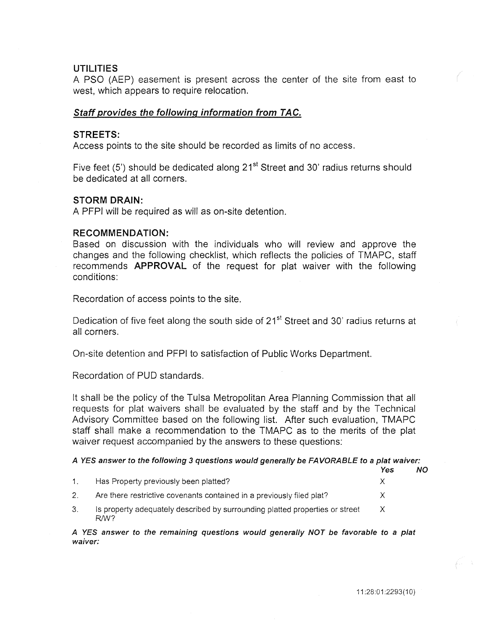# **UTILITIES**

A PSO (AEP) easement is present across the center of the site from east to west, which appears to require relocation.

# **Staff provides the following information from TAC.**

# **STREETS:**

Access points to the site should be recorded as limits of no access.

Five feet (5') should be dedicated along  $21<sup>st</sup>$  Street and 30' radius returns should be dedicated at all corners.

#### **STORM DRAIN:**

A PFPI will be required as will as on-site detention.

#### **RECOMMENDATION:**

Based on discussion with the individuals who will review and approve the changes and the following checklist, which reflects the policies of TMAPC, staff recommends **APPROVAL** of the request for plat waiver with the following conditions:

Recordation of access points to the site.

Dedication of five feet along the south side of 21<sup>st</sup> Street and 30' radius returns at all corners.

On-site detention and PFPI to satisfaction of Public Works Department.

Recordation of PUD standards.

It shall be the policy of the Tulsa Metropolitan Area Planning Commission that all requests for plat waivers shall be evaluated by the staff and by the Technical Advisory Committee based on the following list. After such evaluation, TMAPC staff shall make a recommendation to the TMAPC as to the merits of the plat waiver request accompanied by the answers to these questions:

#### A YES answer to the following 3 questions would generally be FAVORABLE to a plat waiver:

|    |                                                                                                  | Yes | NO. |
|----|--------------------------------------------------------------------------------------------------|-----|-----|
|    | Has Property previously been platted?                                                            |     |     |
|    | Are there restrictive covenants contained in a previously filed plat?                            |     |     |
| 3. | Is property adequately described by surrounding platted properties or street<br>R <sub>M</sub> ? |     |     |

A YES answer to the remaining questions would generally NOT be favorable to *a* plat waiver: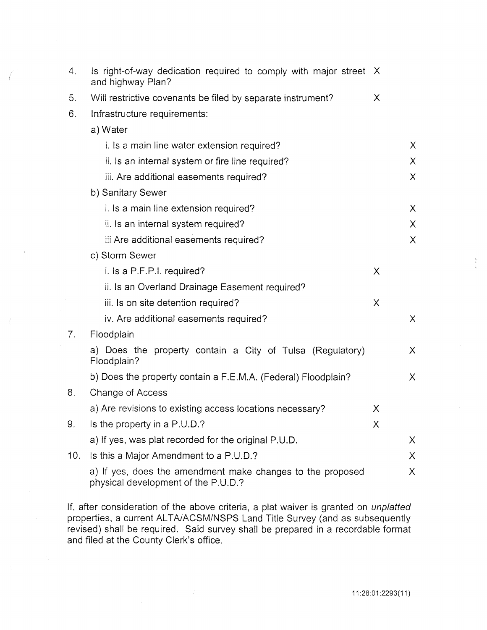| 4.             | Is right-of-way dedication required to comply with major street X<br>and highway Plan?            |   |          |
|----------------|---------------------------------------------------------------------------------------------------|---|----------|
| 5.             | Will restrictive covenants be filed by separate instrument?                                       | X |          |
| 6.             | Infrastructure requirements:                                                                      |   |          |
|                | a) Water                                                                                          |   |          |
|                | i. Is a main line water extension required?                                                       |   | $\chi$   |
|                | ii. Is an internal system or fire line required?                                                  |   | $\chi$   |
|                | iii. Are additional easements required?                                                           |   | X        |
|                | b) Sanitary Sewer                                                                                 |   |          |
|                | i. Is a main line extension required?                                                             |   | $\sf X$  |
|                | ii. Is an internal system required?                                                               |   | X.       |
|                | iii Are additional easements required?                                                            |   | $\chi$   |
|                | c) Storm Sewer                                                                                    |   |          |
|                | i. Is a P.F.P.I. required?                                                                        | X |          |
|                | ii. Is an Overland Drainage Easement required?                                                    |   |          |
|                | iii. Is on site detention required?                                                               | X |          |
|                | iv. Are additional easements required?                                                            |   | $\chi$   |
| 7 <sub>1</sub> | Floodplain                                                                                        |   |          |
|                | a) Does the property contain a City of Tulsa (Regulatory)<br>Floodplain?                          |   | $\times$ |
|                | b) Does the property contain a F.E.M.A. (Federal) Floodplain?                                     |   | X.       |
| 8.             | Change of Access                                                                                  |   |          |
|                | a) Are revisions to existing access locations necessary?                                          | Χ |          |
| 9.             | Is the property in a P.U.D.?                                                                      | Χ |          |
|                | a) If yes, was plat recorded for the original P.U.D.                                              |   | X.       |
| 10.            | Is this a Major Amendment to a P.U.D.?                                                            |   | X.       |
|                | a) If yes, does the amendment make changes to the proposed<br>physical development of the P.U.D.? |   | X.       |

If, after consideration of the above criteria, a plat waiver is granted on unplatted properties, a current ALTA/ACSM/NSPS Land Title Survey (and as subsequently revised) shall be required. Said survey shall be prepared in a recordable format and filed at the County Clerk's office.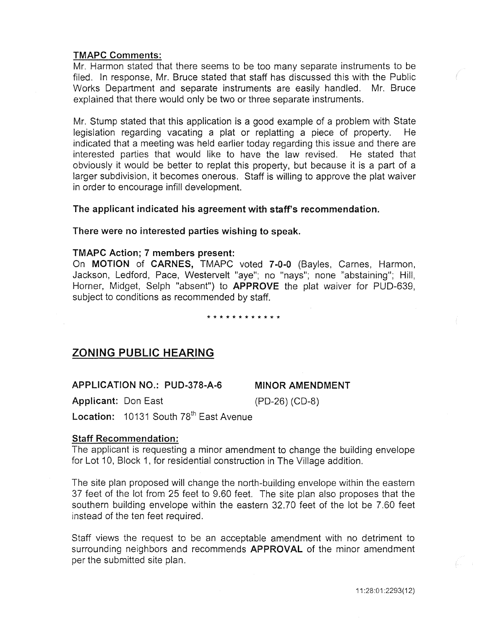# TMAPC Comments:

Mr. Harmon stated that there seems to be too many separate instruments to be filed. In response, Mr. Bruce stated that staff has discussed this with the Public Works Department and separate instruments are easily handled. Mr. Bruce explained that there would only be two or three separate instruments.

Mr. Stump stated that this application is a good example of a problem with State legislation regarding vacating a plat or replatting a piece of property. indicated that a meeting was held earlier today regarding this issue and there are interested parties that would like to have the law revised. He stated that obviously it would be better to replat this property, but because it is a part of a larger subdivision, it becomes onerous. Staff is willing to approve the plat waiver in order to encourage infill development.

# The applicant indicated his agreement with staff's recommendation.

## There were no interested parties wishing to speak.

# TMAPC Action; 7 members present:

On MOTION of CARNES, TMAPC voted 7-0-0 (Bayles, Carnes, Harmon, Jackson, Ledford, Pace, Westervelt "aye"; no "nays"; none "abstaining"; Hill, Horner, Midget, Selph "absent") to APPROVE the plat waiver for PUD-639, subject to conditions as recommended by staff.

#### \* \* \* \* \* \* \* \* \* \* \* \*

# ZONING PUBLIC HEARING

APPLICATION NO.: PUD-378-A-6

# MINOR AMENDMENT

Applicant: Don East

(PD-26) (CD-8)

Location: 10131 South 78<sup>th</sup> East Avenue

# Staff Recommendation:

The applicant is requesting a minor amendment to change the building envelope for Lot 10, Block 1, for residential construction in The Village addition.

The site plan proposed will change the north-building envelope within the eastern 37 feet of the lot from 25 feet to 9.60 feet. The site plan also proposes that the southern building envelope within the eastern 32.70 feet of the lot be 7.60 feet instead of the ten feet required.

Staff views the request to be an acceptable amendment with no detriment to surrounding neighbors and recommends APPROVAL of the minor amendment per the submitted site plan.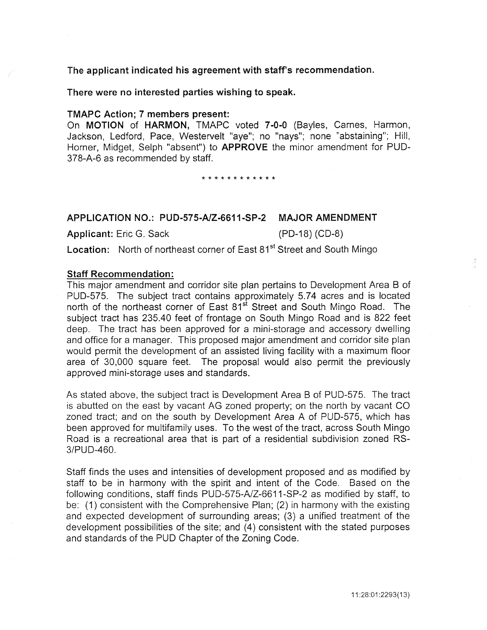# The applicant indicated his agreement with staff's recommendation.

## There were no interested parties wishing to speak.

#### TMAPC Action; 7 members present:

On MOTION of HARMON, TMAPC voted 7-0-0 (Bayles, Carnes, Harmon, Jackson, Ledford, Pace, Westervelt "aye"; no "nays"; none "abstaining"; Hill, Horner, Midget, Selph "absent") to APPROVE the minor amendment for PUD-378-A-6 as recommended by staff.

#### \* \* \* \* \* \* \* \* \* \* \* \*

# APPLICATION NO.: PUD-575-A/Z-6611-SP-2 MAJOR AMENDMENT

Applicant: Eric G. Sack (PD-18) (CD-8)

Location: North of northeast corner of East 81<sup>st</sup> Street and South Mingo

#### Staff Recommendation:

This major amendment and corridor site plan pertains to Development Area B of PUD-575. The subject tract contains approximately 5.74 acres and is located north of the northeast corner of East 81<sup>st</sup> Street and South Mingo Road. The subject tract has 235.40 feet of frontage on South Mingo Road and is 822 feet deep. The tract has been approved for a mini-storage and accessory dwelling and office for a manager. This proposed major amendment and corridor site plan would permit the development of an assisted living facility with a maximum floor area of 30,000 square feet. The proposal would also permit the previously approved mini-storage uses and standards.

As stated above, the subject tract is Development Area B of PUD-575. The tract is abutted on the east by vacant AG zoned property; on the north by vacant CO zoned tract; and on the south by Development Area A of PUD-575, which has been approved for multifamily uses. To the west of the tract, across South Mingo Road is a recreational area that is part of a residential subdivision zoned RS-3/PUD-460.

Staff finds the uses and intensities of development proposed and as modified by staff to be in harmony with the spirit and intent of the Code. Based on the following conditions, staff finds PUD-575-A/Z-6611-SP-2 as modified by staff, to be: (1) consistent with the Comprehensive Plan; (2) in harmony with the existing and expected development of surrounding areas; (3) a unified treatment of the development possibilities of the site; and (4) consistent with the stated purposes and standards of the PUD Chapter of the Zoning Code.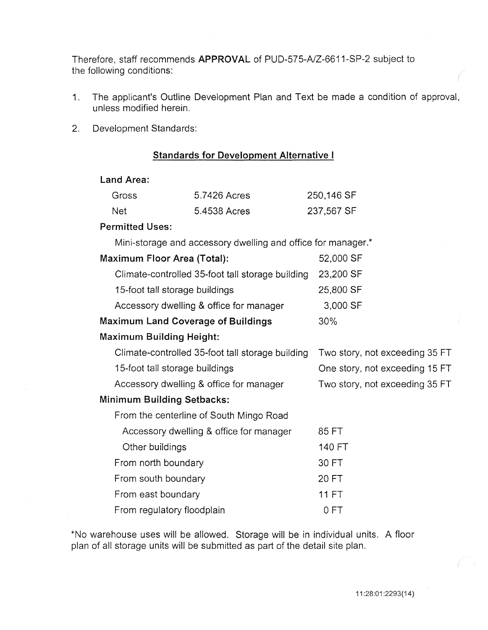Therefore, staff recommends APPROVAL of PUD-575-A/Z-6611-SP-2 subject to the following conditions:

- 1. The applicant's Outline Development Plan and Text be made a condition of approval, unless modified herein.
- 2. Development Standards:

# Standards for Development Alternative I

# Land Area:

| Gross | 5.7426 Acres | 250,146 SF |
|-------|--------------|------------|
| Net.  | 5.4538 Acres | 237,567 SF |

# Permitted Uses:

Mini-storage and accessory dwelling and office for manager.\*

| <b>Maximum Floor Area (Total):</b> |                                                  | 52,000 SF                      |
|------------------------------------|--------------------------------------------------|--------------------------------|
|                                    | Climate-controlled 35-foot tall storage building | 23,200 SF                      |
|                                    | 15-foot tall storage buildings                   | 25,800 SF                      |
|                                    | Accessory dwelling & office for manager          | 3,000 SF                       |
|                                    | <b>Maximum Land Coverage of Buildings</b>        | $30\%$                         |
|                                    | Maximum Building Height:                         |                                |
|                                    | Climate-controlled 35-foot tall storage building | Two story, not exceeding 35 FT |
|                                    | 15-foot tall storage buildings                   | One story, not exceeding 15 FT |
|                                    | Accessory dwelling & office for manager          | Two story, not exceeding 35 FT |
|                                    | Minimum Building Setbacks:                       |                                |
|                                    | From the centerline of South Mingo Road          |                                |
|                                    | Accessory dwelling & office for manager          | 85 FT                          |
|                                    | Other buildings                                  | 140 FT                         |
|                                    | From north boundary                              | 30 FT                          |
|                                    |                                                  |                                |

From south boundary From east boundary From regulatory floodplain 20FT 11 FT 0 FT

\*No warehouse uses will be allowed. Storage will be in individual units. A floor plan of all storage units will be submitted as part of the detail site plan.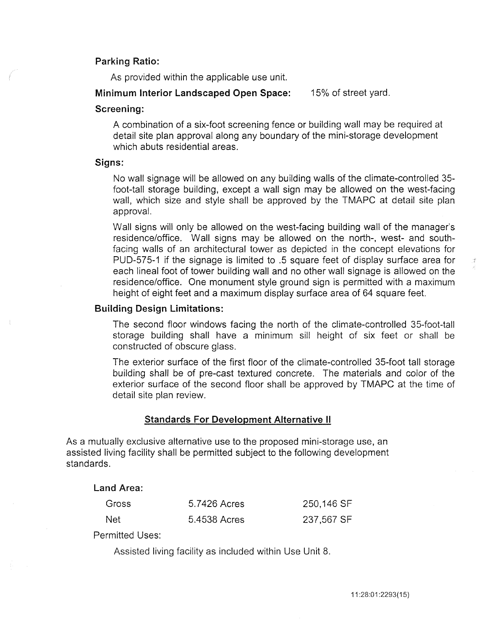# Parking Ratio:

As provided within the applicable use unit.

# Minimum Interior Landscaped Open Space: 15% of street yard.

## Screening:

A combination of a six-foot screening fence or building wall may be required at detail site plan approval along any boundary of the mini-storage development which abuts residential areas.

# Signs:

No wall signage will be allowed on any building walls of the climate-controlled 35 foot-tall storage building, except a wall sign may be allowed on the west-facing wall, which size and style shall be approved by the TMAPC at detail site plan approval.

Wall signs will only be allowed on the west-facing building wall of the manager's residence/office. Wall signs may be allowed on the north-, west- and southfacing walls of an architectural tower as depicted in the concept elevations for PUD-575-1 if the signage is limited to .5 square feet of display surface area for each lineal foot of tower building wall and no other wall signage is allowed on the residence/office. One monument style ground sign is permitted with a maximum height of eight feet and a maximum display surface area of 64 square feet.

# Building Design Limitations:

The second floor windows facing the north of the climate-controlled 35-foot-tall storage building shall have a minimum sill height of six feet or shall be constructed of obscure glass.

The exterior surface of the first floor of the climate-controlled 35-foot tall storage building shall be of pre-cast textured concrete. The materials and color of the exterior surface of the second floor shall be approved by TMAPC at the time of detail site plan review.

# Standards For Development Alternative II

As a mutually exclusive alternative use to the proposed mini-storage use, an assisted living facility shall be permitted subject to the following development standards.

# Land Area:

**Gross** 

Net

5.7426 Acres 250,146 SF 5.4538 Acres 237,567 SF

Permitted Uses:

Assisted living facility as included within Use Unit 8.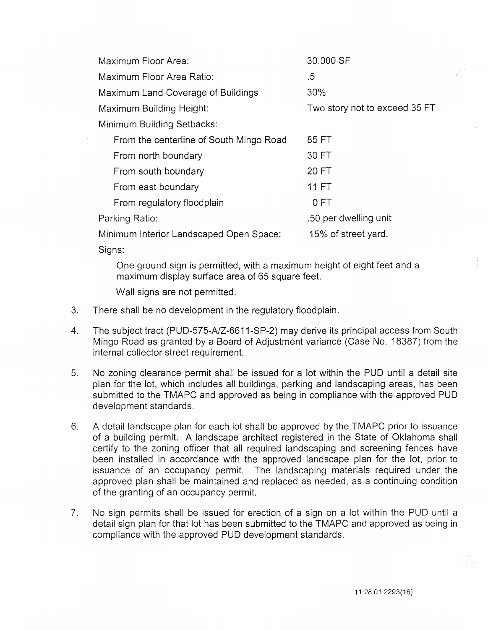| Maximum Floor Area:                     | 30,000 SF                     |
|-----------------------------------------|-------------------------------|
| Maximum Floor Area Ratio:               | .5                            |
| Maximum Land Coverage of Buildings      | 30%                           |
| Maximum Building Height:                | Two story not to exceed 35 FT |
| Minimum Building Setbacks:              |                               |
| From the centerline of South Mingo Road | 85 FT                         |
| From north boundary                     | 30 FT                         |
| From south boundary                     | 20 FT                         |
| From east boundary                      | <b>11 FT</b>                  |
| From regulatory floodplain              | 0 FT                          |
| Parking Ratio:                          | .50 per dwelling unit         |
| Minimum Interior Landscaped Open Space: | 15% of street yard.           |
|                                         |                               |

Signs:

One ground sign is permitted, with a maximum height of eight feet and a maximum display surface area of 65 square feet.

Wall signs are not permitted.

- 3. There shall be no development in the regulatory floodplain.
- 4. The subject tract (PUD-575-A/Z-6611-SP-2) may derive its principal access from South Mingo Road as granted by a Board of Adjustment variance (Case No. 18387) from the internal collector street requirement.
- 5. No zoning clearance permit shall be issued for a lot within the PUD until a detail site plan for the lot, which includes all buildings, parking and landscaping areas, has been submitted to the TMAPC and approved as being in compliance with the approved PUD development standards.
- 6. A detail landscape plan for each lot shall be approved by the TMAPC prior to issuance of a building permit. A landscape architect registered in the State of Oklahoma shall certify to the zoning officer that all required landscaping and screening fences have been installed in accordance with the approved landscape plan for the lot, prior to issuance of an occupancy permit. The landscaping materials required under the approved plan shall be maintained and replaced as needed, as a continuing condition of the granting of an occupancy permit.
- 7. No sign permits shall be issued for erection of a sign on a lot within the PUD until a detail sign plan for that lot has been submitted to the TMAPC and approved as being in compliance with the approved PUD development standards.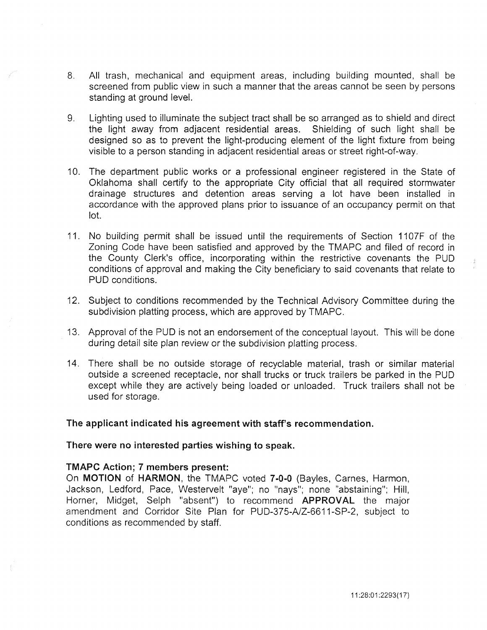- 8. All trash, mechanical and equipment areas, including building mounted, shall be screened from public view in such a manner that the areas cannot be seen by persons standing at ground level.
- 9. Lighting used to illuminate the subject tract shall be so arranged as to shield and direct the light away from adjacent residential areas. Shielding of such light shall be designed so as to prevent the light-producing element of the light fixture from being visible to a person standing in adjacent residential areas or street right-of-way.
- 10. The department public works or a professional engineer registered in the State of Oklahoma shall certify to the appropriate City official that all required stormwater drainage structures and detention areas serving a lot have been installed in accordance with the approved plans prior to issuance of an occupancy permit on that lot.
- 11. No building permit shall be issued until the requirements of Section 1107F of the Zoning Code have been satisfied and approved by the TMAPC and filed of record in the County Clerk's office, incorporating within the restrictive covenants the PUD conditions of approval and making the City beneficiary to said covenants that relate to PUD conditions.
- 12. Subject to conditions recommended by the Technical Advisory Committee during the subdivision platting process, which are approved by TMAPC.
- 13. Approval of the PUD is not an endorsement of the conceptual layout. This will be done during detail site plan review or the subdivision platting process.
- 14. There shall be no outside storage of recyclable material, trash or similar material outside a screened receptacle, nor shall trucks or truck trailers be parked in the PUD except while they are actively being loaded or unloaded. Truck trailers shall not be used for storage.

# The applicant indicated his agreement with staff's recommendation.

# There were no interested parties wishing to speak.

# TMAPC Action; 7 members present:

On MOTION of HARMON, the TMAPC voted 7-0-0 (Bayles, Carnes, Harmon, Jackson, Ledford, Pace, Westervelt "aye"; no "nays"; none "abstaining"; Hill, Horner, Midget, Selph "absent") to recommend APPROVAL the major amendment and Corridor Site Plan for PUD-375-A/Z-6611-SP-2, subject to conditions as recommended by staff.

 $\frac{4}{3}$